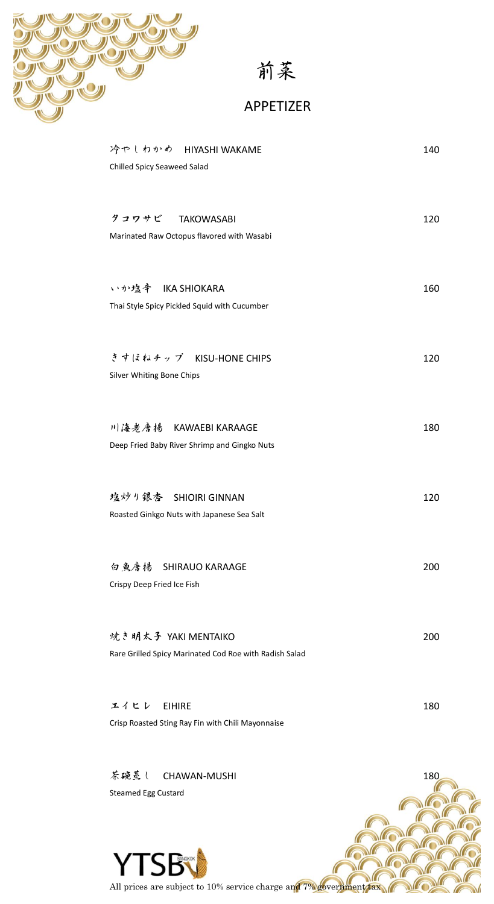

前菜

### APPETIZER

| 冷やしわかめ HIYASHI WAKAME<br>Chilled Spicy Seaweed Salad                          | 140 |
|-------------------------------------------------------------------------------|-----|
| タコワサビ TAKOWASABI<br>Marinated Raw Octopus flavored with Wasabi                | 120 |
| いか塩辛 IKA SHIOKARA<br>Thai Style Spicy Pickled Squid with Cucumber             | 160 |
| きすほねチップ KISU-HONE CHIPS<br>Silver Whiting Bone Chips                          | 120 |
| 川海老唐揚 KAWAEBI KARAAGE<br>Deep Fried Baby River Shrimp and Gingko Nuts         | 180 |
| 塩炒り銀杏 SHIOIRI GINNAN<br>Roasted Ginkgo Nuts with Japanese Sea Salt            | 120 |
| 白鱼唐揚 SHIRAUO KARAAGE<br>Crispy Deep Fried Ice Fish                            | 200 |
| 焼き明太子 YAKI MENTAIKO<br>Rare Grilled Spicy Marinated Cod Roe with Radish Salad | 200 |
| エイヒレ<br><b>EIHIRE</b><br>Crisp Roasted Sting Ray Fin with Chili Mayonnaise    | 180 |

茶碗蒸し CHAWAN-MUSHI 180 Steamed Egg CustardYTSB C All prices are subject to 10% service charge and 7% government tax  $\sqrt{2}$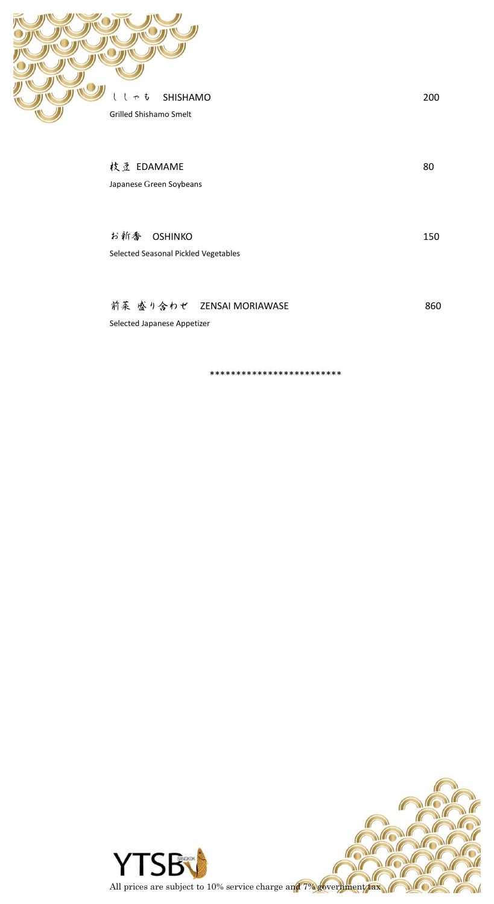

枝豆 EDAMAME 80 Japanese Green Soybeans

200

150

860

お新香 OSHINKO Selected Seasonal Pickled Vegetables

#### 前菜 盛り合わせ ZENSAI MORIAWASE

Selected Japanese Appetizer

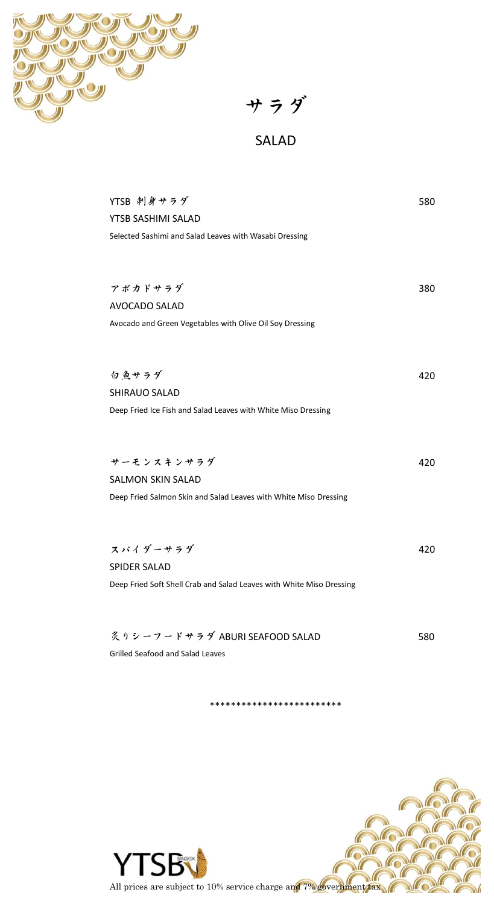

サラダ

# SALAD

| YTSB 刺身サラダ                                                           | 580 |
|----------------------------------------------------------------------|-----|
| YTSB SASHIMI SALAD                                                   |     |
| Selected Sashimi and Salad Leaves with Wasabi Dressing               |     |
|                                                                      |     |
|                                                                      |     |
| アボカドサラダ                                                              | 380 |
| AVOCADO SALAD                                                        |     |
| Avocado and Green Vegetables with Olive Oil Soy Dressing             |     |
|                                                                      |     |
|                                                                      |     |
| 白鱼サラダ                                                                | 420 |
| <b>SHIRAUO SALAD</b>                                                 |     |
| Deep Fried Ice Fish and Salad Leaves with White Miso Dressing        |     |
|                                                                      |     |
|                                                                      |     |
|                                                                      |     |
| サーモンスキンサラダ                                                           | 420 |
| <b>SALMON SKIN SALAD</b>                                             |     |
| Deep Fried Salmon Skin and Salad Leaves with White Miso Dressing     |     |
|                                                                      |     |
|                                                                      |     |
| スパイダーサラダ                                                             | 420 |
| <b>SPIDER SALAD</b>                                                  |     |
| Deep Fried Soft Shell Crab and Salad Leaves with White Miso Dressing |     |
|                                                                      |     |
|                                                                      |     |
| 炙りシーフードサラダ ABURI SEAFOOD SALAD                                       | 580 |

Grilled Seafood and Salad Leaves

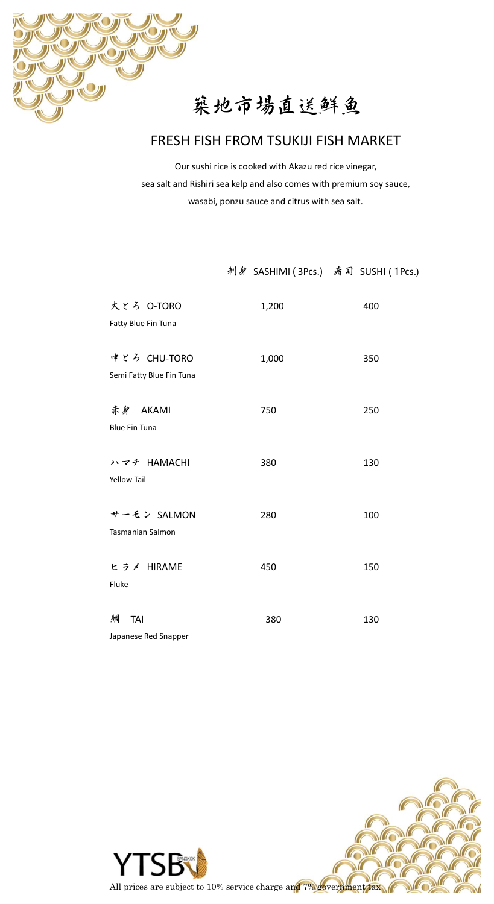

# 築地市場直送鮮魚

### FRESH FISH FROM TSUKIJI FISH MARKET

Our sushi rice is cooked with Akazu red rice vinegar, sea salt and Rishiri sea kelp and also comes with premium soy sauce, wasabi, ponzu sauce and citrus with sea salt.

#### 刺身 SASHIMI ( 3Pcs.) 寿司 SUSHI ( 1Pcs.)

| 大とろ O-TORO<br>Fatty Blue Fin Tuna        | 1,200 | 400 |
|------------------------------------------|-------|-----|
| 中とろ CHU-TORO<br>Semi Fatty Blue Fin Tuna | 1,000 | 350 |
| 赤身 AKAMI<br><b>Blue Fin Tuna</b>         | 750   | 250 |
| ハマチ HAMACHI<br><b>Yellow Tail</b>        | 380   | 130 |
| サーモン SALMON<br>Tasmanian Salmon          | 280   | 100 |
| ヒラメ HIRAME<br>Fluke                      | 450   | 150 |
| 錭<br>TAI<br>Japanese Red Snapper         | 380   | 130 |

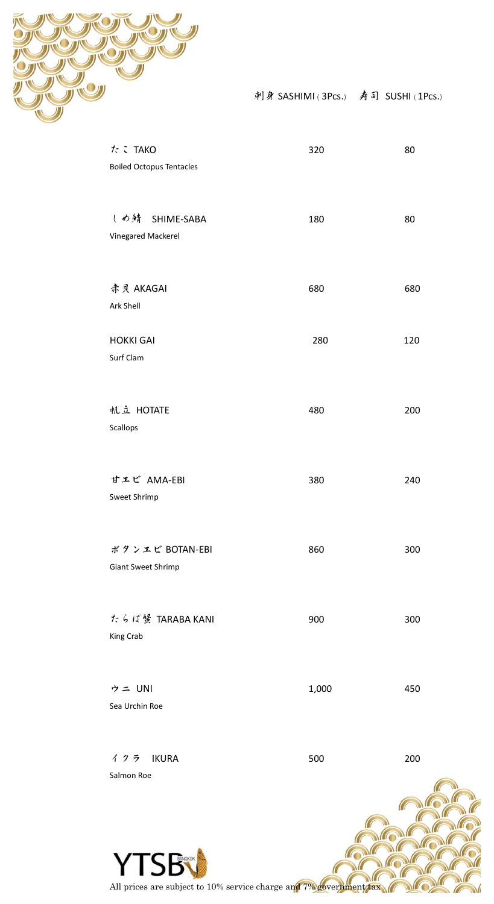

刺身 SASHIMI ( 3Pcs.) 寿司 SUSHI ( 1Pcs.)

| たこTAKO<br><b>Boiled Octopus Tentacles</b> | 320   | 80  |
|-------------------------------------------|-------|-----|
| しめ錆 SHIME-SABA<br>Vinegared Mackerel      | 180   | 80  |
| 赤貝 AKAGAI<br>Ark Shell                    | 680   | 680 |
| <b>HOKKI GAI</b><br>Surf Clam             | 280   | 120 |
| 帆立 HOTATE<br>Scallops                     | 480   | 200 |
| 甘エビ AMA-EBI<br>Sweet Shrimp               | 380   | 240 |
| ボタンエビ BOTAN-EBI<br>Giant Sweet Shrimp     | 860   | 300 |
| たらば蟹 TARABA KANI<br>King Crab             | 900   | 300 |
| ウニ UNI<br>Sea Urchin Roe                  | 1,000 | 450 |
| イクラ IKURA<br>Salmon Roe                   | 500   | 200 |
|                                           |       |     |



All prices are subject to 10% service charge and 7% government tax

 $\ell$ 

 $\sqrt{2}$ 

 $\ell$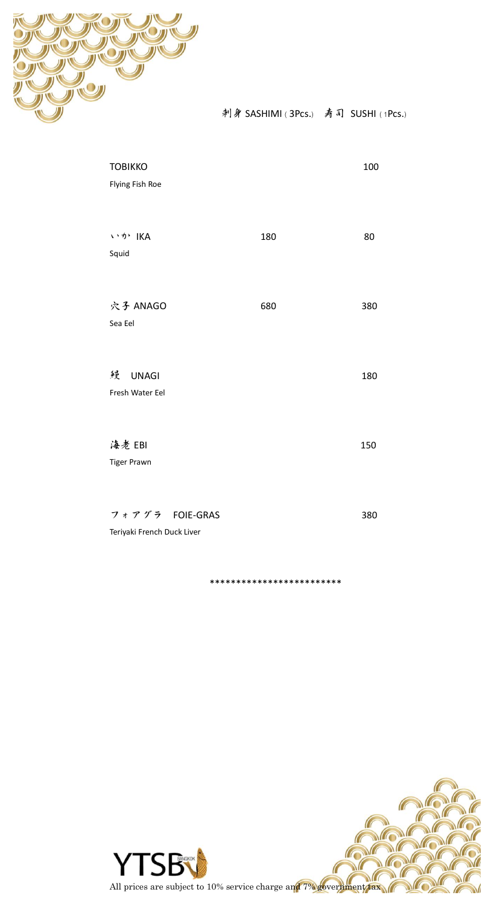

刺身 SASHIMI (3Pcs.) 寿司 SUSHI (1Pcs.)

| <b>TOBIKKO</b><br>Flying Fish Roe             |     | 100 |
|-----------------------------------------------|-----|-----|
| いか IKA<br>Squid                               | 180 | 80  |
| 穴子 ANAGO<br>Sea Eel                           | 680 | 380 |
| 鳗<br><b>UNAGI</b><br>Fresh Water Eel          |     | 180 |
| 海老 EBI<br><b>Tiger Prawn</b>                  |     | 150 |
| フォアグラ FOIE-GRAS<br>Teriyaki French Duck Liver |     | 380 |

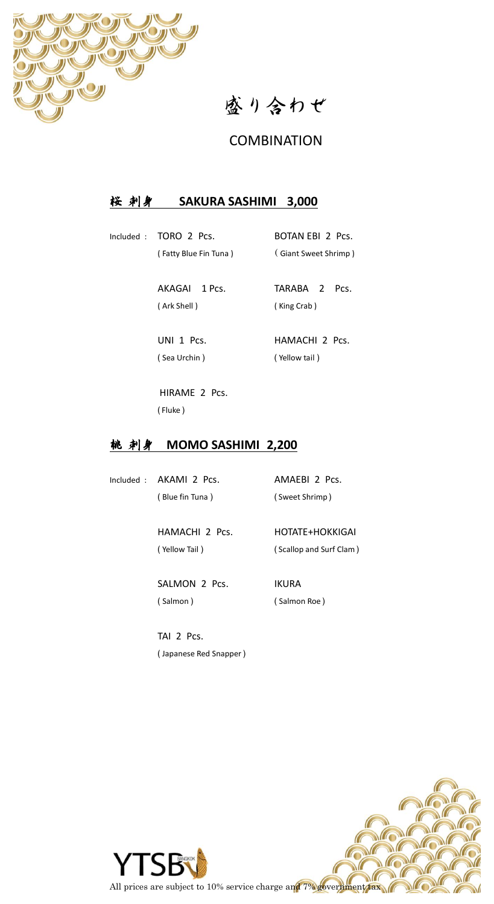

盛り合わせ

#### **COMBINATION**

#### 桜 刺身 **SAKURA SASHIMI 3,000**

Included : TORO 2 Pcs. BOTAN EBI 2 Pcs.

( Fatty Blue Fin Tuna ) ( Giant Sweet Shrimp )

 AKAGAI 1 Pcs. TARABA 2 Pcs. ( Ark Shell ) ( King Crab )

( Sea Urchin ) ( Yellow tail )

UNI 1 Pcs. HAMACHI 2 Pcs.

 HIRAME 2 Pcs. ( Fluke )

#### **桃 刺身 MOMO SASHIMI 2,200**

Included : AKAMI 2 Pcs. AMAEBI 2 Pcs.

( Blue fin Tuna ) ( Sweet Shrimp )

HAMACHI 2 Pcs. HOTATE+HOKKIGAI

( Yellow Tail )  $(Scallop and Surf Clam)$ 

SALMON 2 Pcs. IKURA ( Salmon ) ( Salmon Roe )

TAI 2 Pcs. ( Japanese Red Snapper )

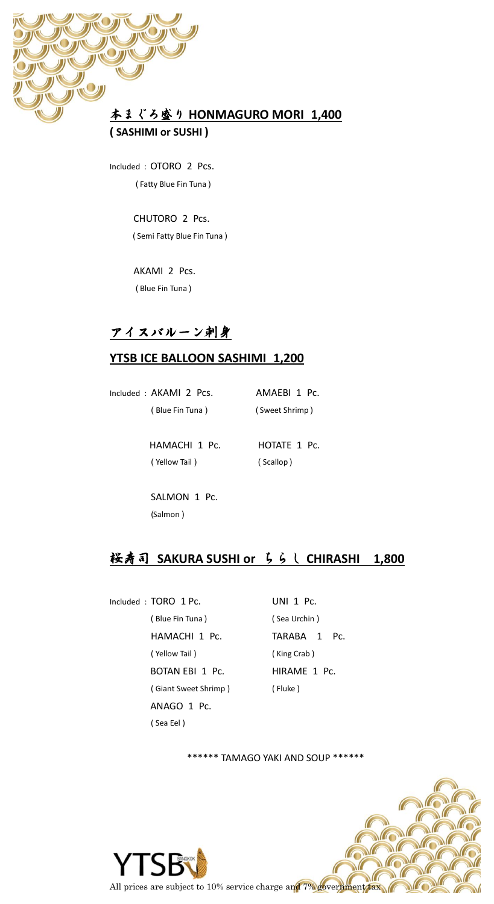

Included : OTORO 2 Pcs. ( Fatty Blue Fin Tuna )

> CHUTORO 2 Pcs. ( Semi Fatty Blue Fin Tuna )

 AKAMI 2 Pcs. ( Blue Fin Tuna )

## アイスバルーン刺身

#### **YTSB ICE BALLOON SASHIMI 1,200**

Included : AKAMI 2 Pcs. AMAEBI 1 Pc. ( Blue Fin Tuna ) ( Sweet Shrimp ) HAMACHI 1 Pc. **HOTATE 1 Pc.** 

( Yellow Tail ) ( Scallop )

SALMON 1 Pc. (Salmon )

## 桜寿司 **SAKURA SUSHI or** ちらし **CHIRASHI 1,800**

Included : TORO 1 Pc. UNI 1 Pc. ( Blue Fin Tuna ) ( Sea Urchin ) HAMACHI 1 Pc. TARABA 1 Pc. ( Yellow Tail ) ( King Crab ) BOTAN EBI 1 Pc. HIRAME 1 Pc. ( Giant Sweet Shrimp ) ( Fluke ) ANAGO 1 Pc. ( Sea Eel )

\*\*\*\*\*\* TAMAGO YAKI AND SOUP \*\*\*\*\*\*

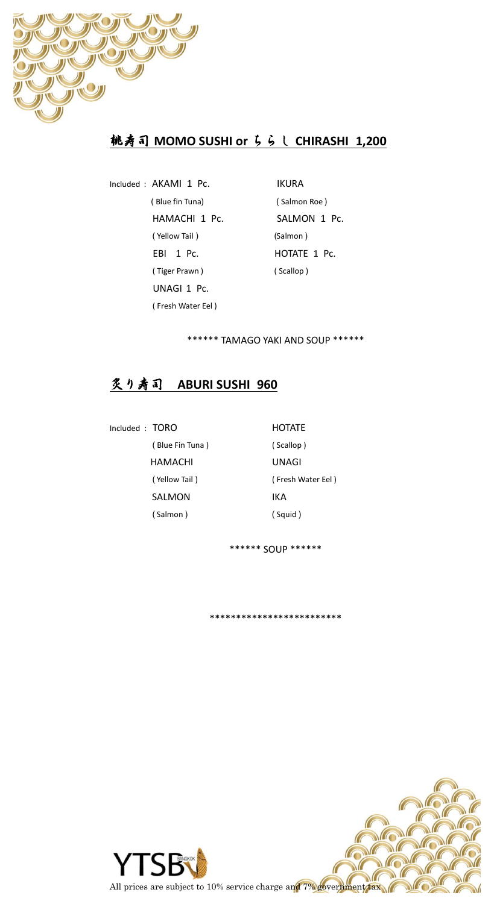

## 桃寿司 **MOMO SUSHI or** ちらし **CHIRASHI 1,200**

Included : AKAMI 1 Pc. IKURA ( Blue fin Tuna) ( Salmon Roe ) HAMACHI 1 Pc. SALMON 1 Pc. ( Yellow Tail ) (Salmon ) EBI 1 Pc. HOTATE 1 Pc. ( Tiger Prawn ) ( Scallop ) UNAGI 1 Pc. ( Fresh Water Eel )

\*\*\*\*\*\* TAMAGO YAKI AND SOUP \*\*\*\*\*\*

### 炙り寿司 **ABURI SUSHI 960**

Included : TORO HOTATE ( Blue Fin Tuna ) ( Scallop ) HAMACHI UNAGI SALMON IKA ( Salmon ) ( Squid )

( Yellow Tail ) ( Fresh Water Eel )

\*\*\*\*\*\* SOUP \*\*\*\*\*\*

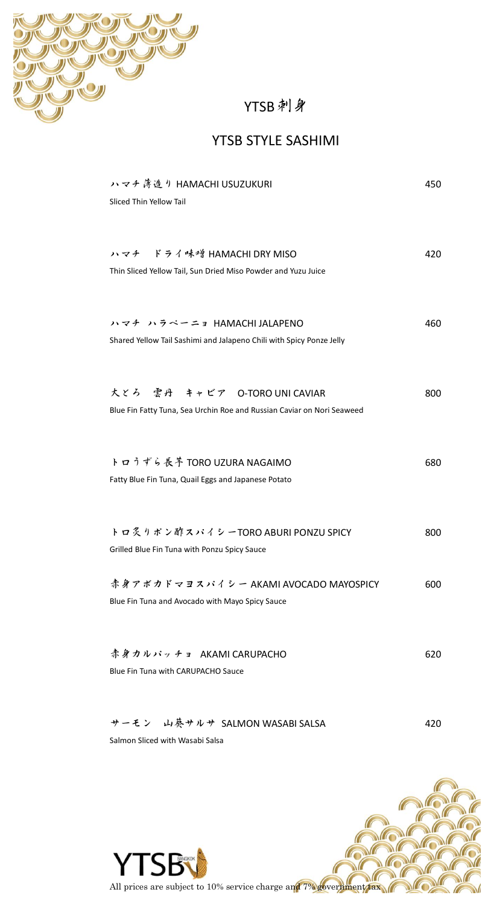

# YTSB刺身

### YTSB STYLE SASHIMI

| ハマチ薄造り HAMACHI USUZUKURI                                               | 450 |
|------------------------------------------------------------------------|-----|
| Sliced Thin Yellow Tail                                                |     |
|                                                                        |     |
|                                                                        |     |
| ハマチ ドライ味噌 HAMACHI DRY MISO                                             | 420 |
| Thin Sliced Yellow Tail, Sun Dried Miso Powder and Yuzu Juice          |     |
|                                                                        |     |
| ハマチ ハラペーニョ HAMACHI JALAPENO                                            | 460 |
| Shared Yellow Tail Sashimi and Jalapeno Chili with Spicy Ponze Jelly   |     |
|                                                                        |     |
|                                                                        |     |
| 大とろ 雲丹 キャビア O-TORO UNI CAVIAR                                          | 800 |
| Blue Fin Fatty Tuna, Sea Urchin Roe and Russian Caviar on Nori Seaweed |     |
|                                                                        |     |
|                                                                        |     |
| トロうずら長芋 TORO UZURA NAGAIMO                                             | 680 |
| Fatty Blue Fin Tuna, Quail Eggs and Japanese Potato                    |     |
|                                                                        |     |
|                                                                        |     |
| トロ炙りポン酢スパイシーTORO ABURI PONZU SPICY                                     | 800 |
| Grilled Blue Fin Tuna with Ponzu Spicy Sauce                           |     |
|                                                                        |     |
| 赤身アボカドマヨスパイシー AKAMI AVOCADO MAYOSPICY                                  | 600 |
| Blue Fin Tuna and Avocado with Mayo Spicy Sauce                        |     |
|                                                                        |     |
| 赤身カルパッチョ AKAMI CARUPACHO                                               | 620 |
| Blue Fin Tuna with CARUPACHO Sauce                                     |     |
|                                                                        |     |
|                                                                        |     |
| サーモン 山葵サルサ SALMON WASABI SALSA                                         | 420 |
|                                                                        |     |

Salmon Sliced with Wasabi Salsa

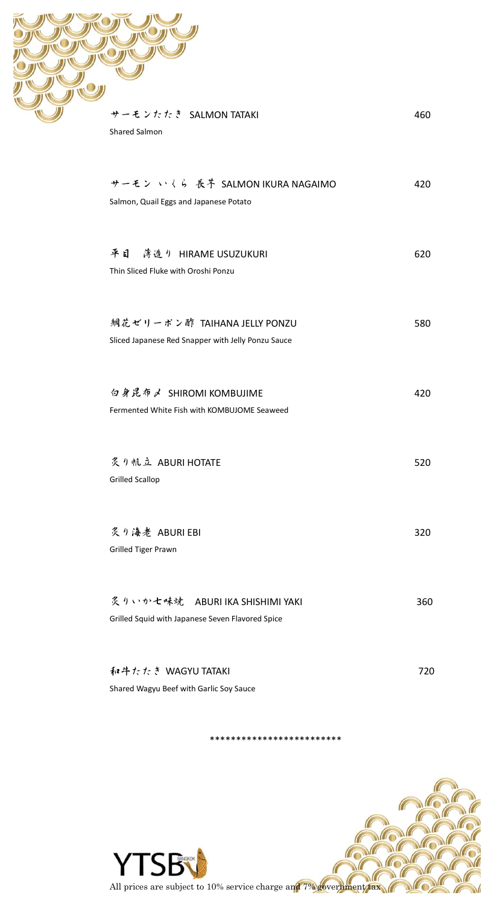| サーモンたたき SALMON TATAKI                                                  | 460 |
|------------------------------------------------------------------------|-----|
| <b>Shared Salmon</b>                                                   |     |
| サーモン いくら 長芋 SALMON IKURA NAGAIMO                                       | 420 |
| Salmon, Quail Eggs and Japanese Potato                                 |     |
| 平日 薄造り HIRAME USUZUKURI                                                | 620 |
| Thin Sliced Fluke with Oroshi Ponzu                                    |     |
| 鯛花ゼリーポン酢 TAIHANA JELLY PONZU                                           | 580 |
| Sliced Japanese Red Snapper with Jelly Ponzu Sauce                     |     |
| 白身昆布人 SHIROMI KOMBUJIME<br>Fermented White Fish with KOMBUJOME Seaweed | 420 |
|                                                                        |     |
| 炙り帆立 ABURI HOTATE<br><b>Grilled Scallop</b>                            | 520 |
|                                                                        |     |
| 炙り海老 ABURI EBI<br>Grilled Tiger Prawn                                  | 320 |
|                                                                        |     |
| 炙りいか七味焼 ABURI IKA SHISHIMI YAKI                                        | 360 |
| Grilled Squid with Japanese Seven Flavored Spice                       |     |
| 和牛たたき WAGYU TATAKI                                                     | 720 |
| Shared Wagyu Beef with Garlic Soy Sauce                                |     |

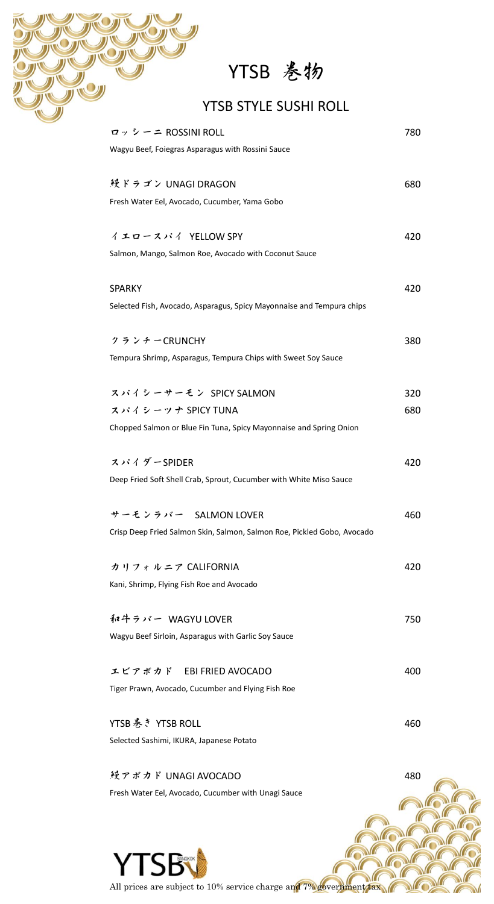# YTSB 巻物

# YTSB STYLE SUSHI ROLL

| ロッシーニ ROSSINI ROLL                                                      | 780 |
|-------------------------------------------------------------------------|-----|
| Wagyu Beef, Foiegras Asparagus with Rossini Sauce                       |     |
|                                                                         |     |
| 鏝ドラゴン UNAGI DRAGON                                                      | 680 |
| Fresh Water Eel, Avocado, Cucumber, Yama Gobo                           |     |
|                                                                         |     |
| イエロースパイ YELLOW SPY                                                      | 420 |
| Salmon, Mango, Salmon Roe, Avocado with Coconut Sauce                   |     |
| <b>SPARKY</b>                                                           | 420 |
| Selected Fish, Avocado, Asparagus, Spicy Mayonnaise and Tempura chips   |     |
|                                                                         |     |
| クランチーCRUNCHY                                                            | 380 |
| Tempura Shrimp, Asparagus, Tempura Chips with Sweet Soy Sauce           |     |
|                                                                         |     |
| スパイシーサーモン SPICY SALMON                                                  | 320 |
| スパイシーツナ SPICY TUNA                                                      | 680 |
| Chopped Salmon or Blue Fin Tuna, Spicy Mayonnaise and Spring Onion      |     |
|                                                                         |     |
| スパイダーSPIDER                                                             | 420 |
| Deep Fried Soft Shell Crab, Sprout, Cucumber with White Miso Sauce      |     |
|                                                                         |     |
| サーモンラバー SALMON LOVER                                                    | 460 |
| Crisp Deep Fried Salmon Skin, Salmon, Salmon Roe, Pickled Gobo, Avocado |     |
|                                                                         |     |
| カリフォルニア CALIFORNIA                                                      | 420 |
| Kani, Shrimp, Flying Fish Roe and Avocado                               |     |
| 和牛ラバー WAGYU LOVER                                                       | 750 |
| Wagyu Beef Sirloin, Asparagus with Garlic Soy Sauce                     |     |
|                                                                         |     |
| エビアボカド EBI FRIED AVOCADO                                                | 400 |
| Tiger Prawn, Avocado, Cucumber and Flying Fish Roe                      |     |
|                                                                         |     |
| YTSB巻き YTSB ROLL                                                        | 460 |
| Selected Sashimi, IKURA, Japanese Potato                                |     |
|                                                                         |     |
| 鏝アボカド UNAGI AVOCADO                                                     | 480 |
| Fresh Water Eel, Avocado, Cucumber with Unagi Sauce                     |     |
|                                                                         |     |
|                                                                         |     |
|                                                                         |     |

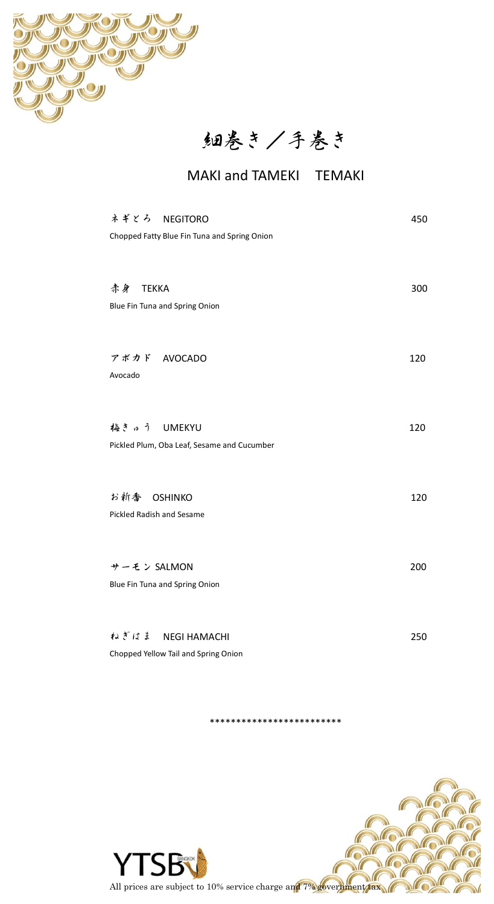

細巻き/手巻き

# MAKI and TAMEKI TEMAKI

| ネギとろ NEGITORO<br>Chopped Fatty Blue Fin Tuna and Spring Onion | 450 |
|---------------------------------------------------------------|-----|
| 赤身 TEKKA<br>Blue Fin Tuna and Spring Onion                    | 300 |
| アボカド AVOCADO<br>Avocado                                       | 120 |
| 梅きゅう UMEKYU<br>Pickled Plum, Oba Leaf, Sesame and Cucumber    | 120 |
| お新香 OSHINKO<br>Pickled Radish and Sesame                      | 120 |
| サーモン SALMON<br>Blue Fin Tuna and Spring Onion                 | 200 |
| ねぎはま NEGI HAMACHI<br>Chopped Yellow Tail and Spring Onion     | 250 |

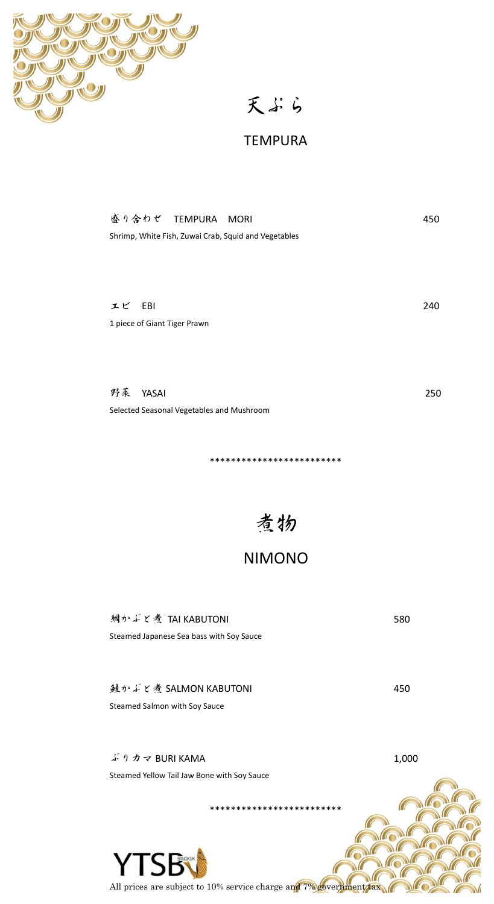

天ぷら

### **TEMPURA**

| 盛り合わせ TEMPURA MORI |                                                      | 450 |
|--------------------|------------------------------------------------------|-----|
|                    | Shrimp, White Fish, Zuwai Crab, Squid and Vegetables |     |
|                    |                                                      |     |
|                    |                                                      |     |
|                    |                                                      |     |

240

250

580

450

エビ EBI 1 piece of Giant Tiger Prawn

野菜 YASAI Selected Seasonal Vegetables and Mushroom

\*\*\*\*\*\*\*\*\*\*\*\*\*\*\*\*\*\*\*\*\*\*\*

### **NIMONO**

鯛かぶと煮 TAI KABUTONI Steamed Japanese Sea bass with Soy Sauce

鲑かぶと煮 SALMON KABUTONI Steamed Salmon with Soy Sauce

ぶりカマ BURI KAMA 1,000 Steamed Yellow Tail Jaw Bone with Soy Sauce \*\*\*\*\*\*\*\*\*\*\*\*\*\*\*\*\*\*\*\*\*\*\*\*\*

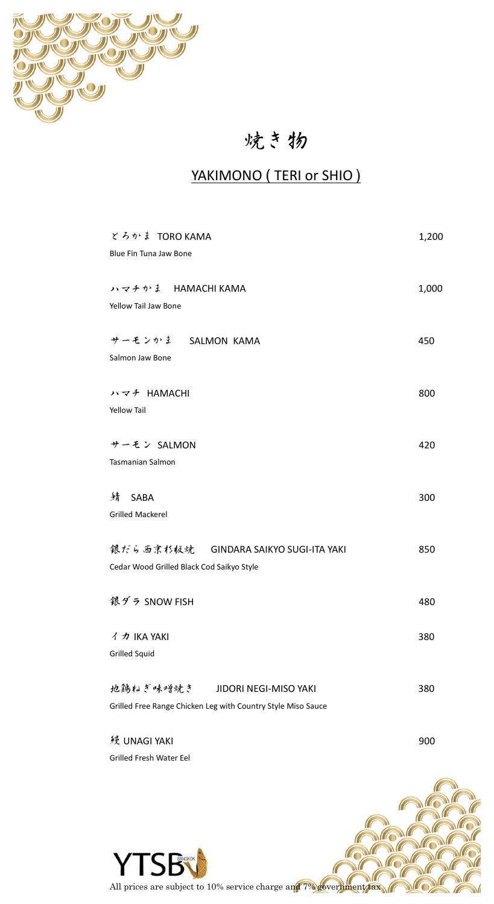

# 焼き物

# YAKIMONO (TERI or SHIO)

| とろかま TORO KAMA                                               | 1,200 |
|--------------------------------------------------------------|-------|
| Blue Fin Tuna Jaw Bone                                       |       |
| ハマチかま HAMACHI KAMA                                           | 1,000 |
| Yellow Tail Jaw Bone                                         |       |
| サーモンかま SALMON KAMA                                           | 450   |
| Salmon Jaw Bone                                              |       |
| ハマチ HAMACHI                                                  | 800   |
| Yellow Tail                                                  |       |
| サーモン SALMON                                                  | 420   |
| Tasmanian Salmon                                             |       |
| 绮 SABA                                                       | 300   |
| <b>Grilled Mackerel</b>                                      |       |
| 銀だら西京杉板焼 GINDARA SAIKYO SUGI-ITA YAKI                        | 850   |
| Cedar Wood Grilled Black Cod Saikyo Style                    |       |
| 銀ダラ SNOW FISH                                                | 480   |
| イカ IKA YAKI                                                  | 380   |
| Grilled Squid                                                |       |
| 地鶏ねぎ味噌焼き<br>JIDORI NEGI-MISO YAKI                            | 380   |
| Grilled Free Range Chicken Leg with Country Style Miso Sauce |       |
| 鳗 UNAGI YAKI                                                 | 900   |

**YTSB** All prices are subject to 10% service charge and 7% government tax

Grilled Fresh Water Eel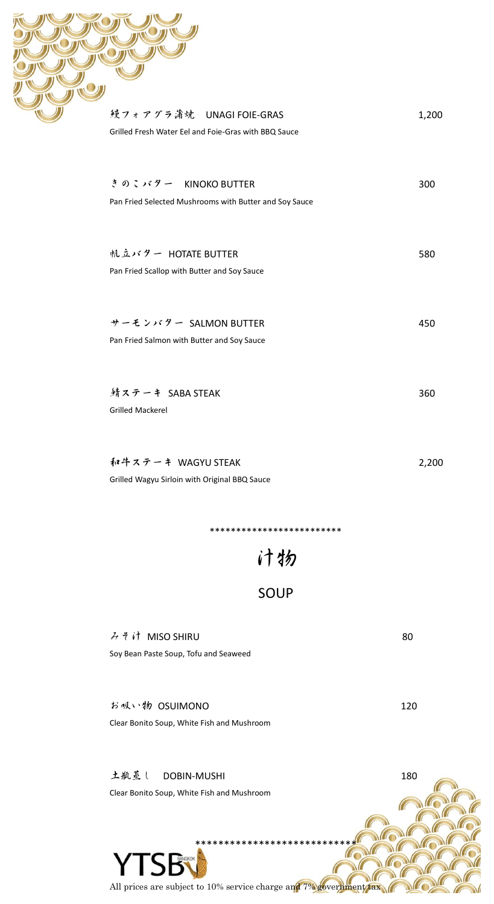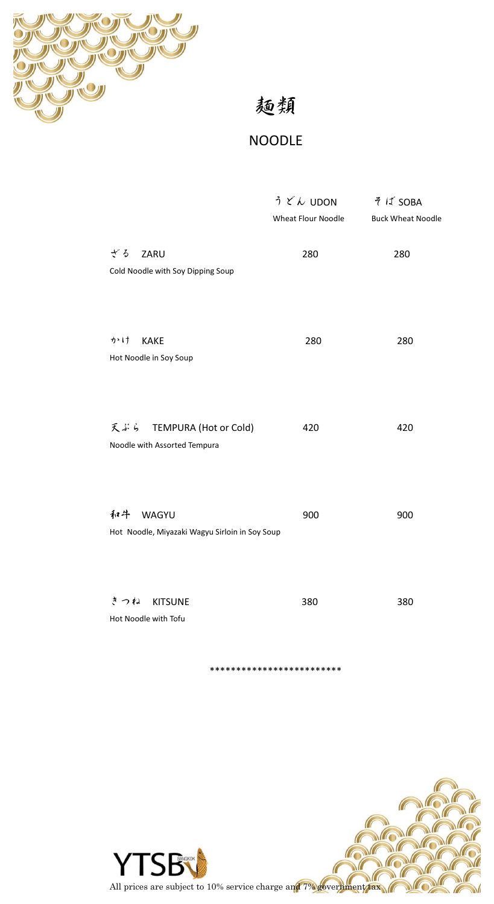

麺類

# **NOODLE**

|                                                               | うどん UDON           | そば SOBA                  |
|---------------------------------------------------------------|--------------------|--------------------------|
|                                                               | Wheat Flour Noodle | <b>Buck Wheat Noodle</b> |
| ざる<br>ZARU<br>Cold Noodle with Soy Dipping Soup               | 280                | 280                      |
| かけ<br><b>KAKE</b><br>Hot Noodle in Soy Soup                   | 280                | 280                      |
| 天ぶら TEMPURA (Hot or Cold)<br>Noodle with Assorted Tempura     | 420                | 420                      |
| 和牛<br>WAGYU<br>Hot Noodle, Miyazaki Wagyu Sirloin in Soy Soup | 900                | 900                      |
| きつね<br><b>KITSUNE</b><br>Hot Noodle with Tofu                 | 380                | 380                      |

\*\*\*\*\*\*\*\*\*\*\*\*\*\*

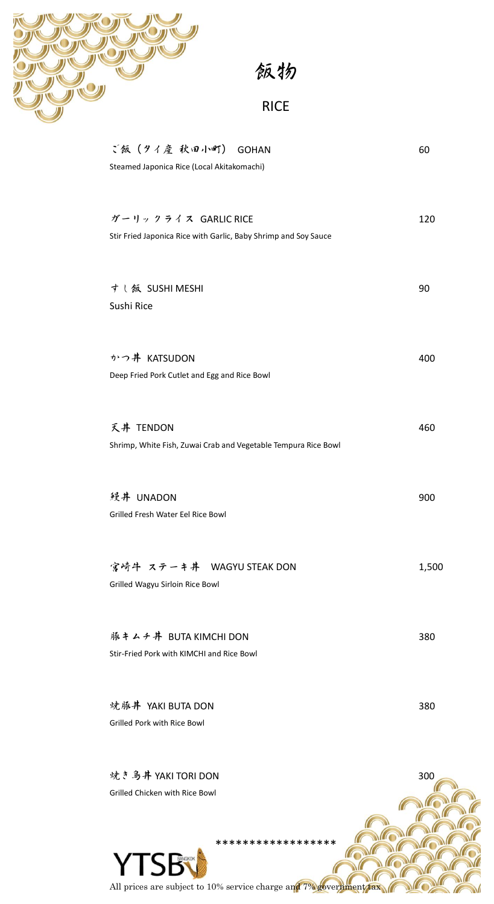

飯物

# RICE

| ご飯(タイ産 秋田小町) GOHAN                                              | 60    |
|-----------------------------------------------------------------|-------|
| Steamed Japonica Rice (Local Akitakomachi)                      |       |
| ガーリックライス GARLIC RICE                                            | 120   |
| Stir Fried Japonica Rice with Garlic, Baby Shrimp and Soy Sauce |       |
| すし飯 SUSHI MESHI                                                 | 90    |
| Sushi Rice                                                      |       |
| かつ丼 KATSUDON                                                    | 400   |
| Deep Fried Pork Cutlet and Egg and Rice Bowl                    |       |
| 天井 TENDON                                                       | 460   |
| Shrimp, White Fish, Zuwai Crab and Vegetable Tempura Rice Bowl  |       |
| 鳗井 UNADON                                                       | 900   |
| Grilled Fresh Water Eel Rice Bowl                               |       |
| 宮崎牛 ステーキ丼 WAGYU STEAK DON                                       | 1,500 |
| Grilled Wagyu Sirloin Rice Bowl                                 |       |
| 豚キムチ丼 BUTA KIMCHI DON                                           | 380   |
| Stir-Fried Pork with KIMCHI and Rice Bowl                       |       |
| 焼豚丼 YAKI BUTA DON                                               | 380   |
| Grilled Pork with Rice Bowl                                     |       |
| 焼き鳥丼 YAKI TORI DON                                              | 300   |
| Grilled Chicken with Rice Bowl                                  |       |



All prices are subject to 10% service charge and 7% government tax

 $\mathcal{L}$ 

MO

 $\mathcal{N}$ 

ſ

 $\mu$ 

 $\theta$